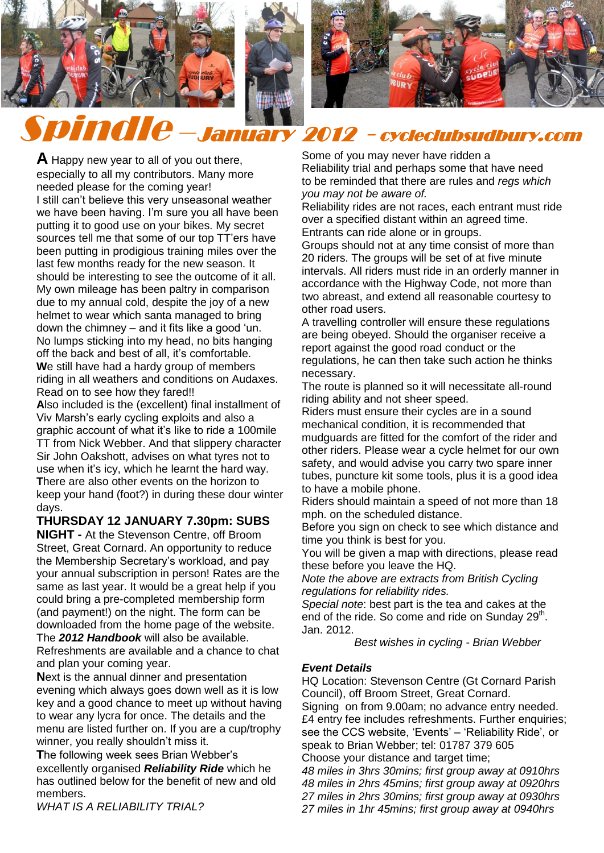

Spindle –January 2012 - cycleclubsudbury.com

**A** Happy new year to all of you out there, especially to all my contributors. Many more needed please for the coming year! I still can't believe this very unseasonal weather we have been having. I'm sure you all have been putting it to good use on your bikes. My secret sources tell me that some of our top TT'ers have been putting in prodigious training miles over the last few months ready for the new season. It should be interesting to see the outcome of it all. My own mileage has been paltry in comparison due to my annual cold, despite the joy of a new helmet to wear which santa managed to bring down the chimney – and it fits like a good 'un. No lumps sticking into my head, no bits hanging off the back and best of all, it's comfortable. We still have had a hardy group of members riding in all weathers and conditions on Audaxes. Read on to see how they fared!!

**A**lso included is the (excellent) final installment of Viv Marsh's early cycling exploits and also a graphic account of what it's like to ride a 100mile TT from Nick Webber. And that slippery character Sir John Oakshott, advises on what tyres not to use when it's icy, which he learnt the hard way. **T**here are also other events on the horizon to keep your hand (foot?) in during these dour winter days.

### **THURSDAY 12 JANUARY 7.30pm: SUBS**

**NIGHT -** At the Stevenson Centre, off Broom Street, Great Cornard. An opportunity to reduce the Membership Secretary's workload, and pay your annual subscription in person! Rates are the same as last year. It would be a great help if you could bring a pre-completed membership form (and payment!) on the night. The form can be downloaded from the home page of the website. The *2012 Handbook* will also be available. Refreshments are available and a chance to chat and plan your coming year.

**N**ext is the annual dinner and presentation evening which always goes down well as it is low key and a good chance to meet up without having to wear any lycra for once. The details and the menu are listed further on. If you are a cup/trophy winner, you really shouldn't miss it.

**T**he following week sees Brian Webber's excellently organised *Reliability Ride* which he has outlined below for the benefit of new and old members.

*WHAT IS A RELIABILITY TRIAL?*

#### Some of you may never have ridden a Reliability trial and perhaps some that have need to be reminded that there are rules and *regs which you may not be aware of.*

Reliability rides are not races, each entrant must ride over a specified distant within an agreed time. Entrants can ride alone or in groups.

Groups should not at any time consist of more than 20 riders. The groups will be set of at five minute intervals. All riders must ride in an orderly manner in accordance with the Highway Code, not more than two abreast, and extend all reasonable courtesy to other road users.

A travelling controller will ensure these regulations are being obeyed. Should the organiser receive a report against the good road conduct or the regulations, he can then take such action he thinks necessary.

The route is planned so it will necessitate all-round riding ability and not sheer speed.

Riders must ensure their cycles are in a sound mechanical condition, it is recommended that mudguards are fitted for the comfort of the rider and other riders. Please wear a cycle helmet for our own safety, and would advise you carry two spare inner tubes, puncture kit some tools, plus it is a good idea to have a mobile phone.

Riders should maintain a speed of not more than 18 mph. on the scheduled distance.

Before you sign on check to see which distance and time you think is best for you.

You will be given a map with directions, please read these before you leave the HQ.

*Note the above are extracts from British Cycling regulations for reliability rides.*

*Special note*: best part is the tea and cakes at the end of the ride. So come and ride on Sunday  $29<sup>th</sup>$ . Jan. 2012.

 *Best wishes in cycling - Brian Webber*

## *Event Details*

HQ Location: Stevenson Centre (Gt Cornard Parish Council), off Broom Street, Great Cornard. Signing on from 9.00am; no advance entry needed. £4 entry fee includes refreshments. Further enquiries; see the CCS website, 'Events' – 'Reliability Ride', or speak to Brian Webber; tel: 01787 379 605 Choose your distance and target time; *48 miles in 3hrs 30mins; first group away at 0910hrs*

*48 miles in 2hrs 45mins; first group away at 0920hrs 27 miles in 2hrs 30mins; first group away at 0930hrs 27 miles in 1hr 45mins; first group away at 0940hrs*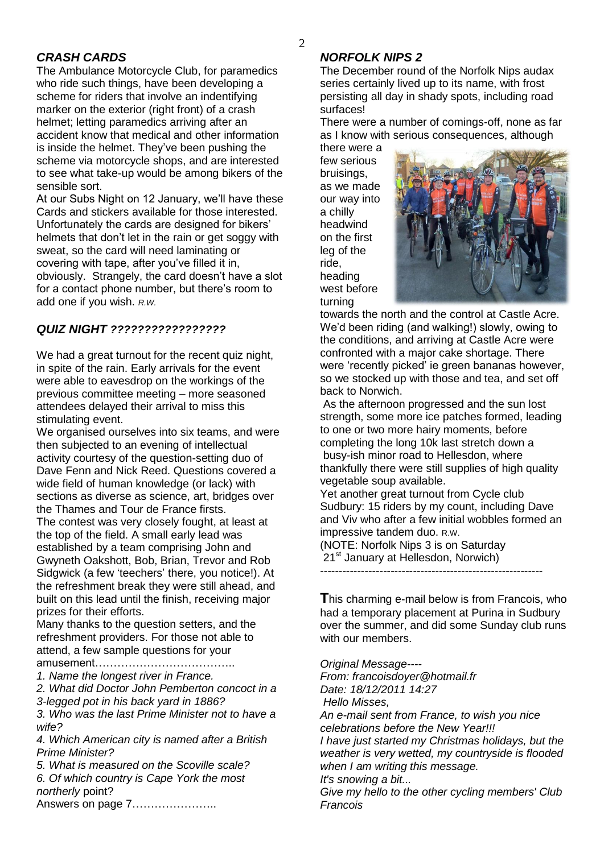#### $\mathcal{D}_{\alpha}$

## *CRASH CARDS*

The Ambulance Motorcycle Club, for paramedics who ride such things, have been developing a scheme for riders that involve an indentifying marker on the exterior (right front) of a crash helmet; letting paramedics arriving after an accident know that medical and other information is inside the helmet. They've been pushing the scheme via motorcycle shops, and are interested to see what take-up would be among bikers of the sensible sort.

At our Subs Night on 12 January, we'll have these Cards and stickers available for those interested. Unfortunately the cards are designed for bikers' helmets that don't let in the rain or get soggy with sweat, so the card will need laminating or covering with tape, after you've filled it in, obviously. Strangely, the card doesn't have a slot for a contact phone number, but there's room to add one if you wish. *R.W.*

## *QUIZ NIGHT ?????????????????*

We had a great turnout for the recent quiz night, in spite of the rain. Early arrivals for the event were able to eavesdrop on the workings of the previous committee meeting – more seasoned attendees delayed their arrival to miss this stimulating event.

We organised ourselves into six teams, and were then subjected to an evening of intellectual activity courtesy of the question-setting duo of Dave Fenn and Nick Reed. Questions covered a wide field of human knowledge (or lack) with sections as diverse as science, art, bridges over the Thames and Tour de France firsts. The contest was very closely fought, at least at the top of the field. A small early lead was established by a team comprising John and Gwyneth Oakshott, Bob, Brian, Trevor and Rob Sidgwick (a few 'teechers' there, you notice!). At the refreshment break they were still ahead, and built on this lead until the finish, receiving major prizes for their efforts.

Many thanks to the question setters, and the refreshment providers. For those not able to attend, a few sample questions for your

amusement………………………………..

*1. Name the longest river in France.*

*2. What did Doctor John Pemberton concoct in a 3-legged pot in his back yard in 1886?*

*3. Who was the last Prime Minister not to have a wife?*

*4. Which American city is named after a British Prime Minister?*

*5. What is measured on the Scoville scale? 6. Of which country is Cape York the most northerly* point? Answers on page 7…………………..

## *NORFOLK NIPS 2*

The December round of the Norfolk Nips audax series certainly lived up to its name, with frost persisting all day in shady spots, including road surfaces!

There were a number of comings-off, none as far as I know with serious consequences, although

there were a few serious bruisings, as we made our way into a chilly headwind on the first leg of the ride, heading west before turning



towards the north and the control at Castle Acre. We'd been riding (and walking!) slowly, owing to the conditions, and arriving at Castle Acre were confronted with a major cake shortage. There were 'recently picked' ie green bananas however, so we stocked up with those and tea, and set off back to Norwich.

As the afternoon progressed and the sun lost strength, some more ice patches formed, leading to one or two more hairy moments, before completing the long 10k last stretch down a busy-ish minor road to Hellesdon, where thankfully there were still supplies of high quality vegetable soup available.

Yet another great turnout from Cycle club Sudbury: 15 riders by my count, including Dave and Viv who after a few initial wobbles formed an impressive tandem duo. R.W.

(NOTE: Norfolk Nips 3 is on Saturday 21<sup>st</sup> January at Hellesdon, Norwich)

------------------------------------------------------------

**T**his charming e-mail below is from Francois, who had a temporary placement at Purina in Sudbury over the summer, and did some Sunday club runs with our members.

*Original Message----*

*From: francoisdoyer@hotmail.fr*

*Date: 18/12/2011 14:27*

*Hello Misses,* 

*An e-mail sent from France, to wish you nice celebrations before the New Year!!!*

*I have just started my Christmas holidays, but the weather is very wetted, my countryside is flooded when I am writing this message.*

*It's snowing a bit...*

*Give my hello to the other cycling members' Club Francois*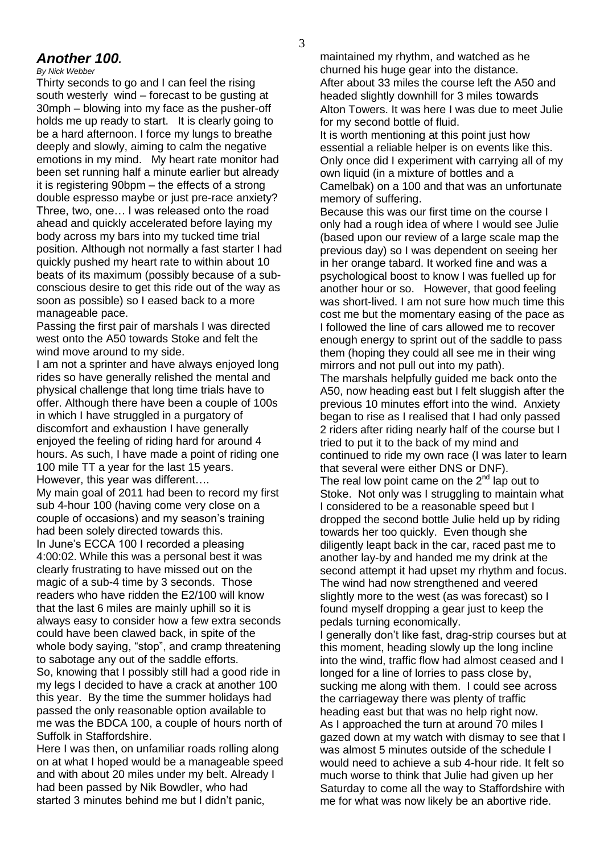# *Another 100.*

*By Nick Webber* 

Thirty seconds to go and I can feel the rising south westerly wind – forecast to be gusting at 30mph – blowing into my face as the pusher-off holds me up ready to start. It is clearly going to be a hard afternoon. I force my lungs to breathe deeply and slowly, aiming to calm the negative emotions in my mind. My heart rate monitor had been set running half a minute earlier but already it is registering 90bpm – the effects of a strong double espresso maybe or just pre-race anxiety? Three, two, one… I was released onto the road ahead and quickly accelerated before laying my body across my bars into my tucked time trial position. Although not normally a fast starter I had quickly pushed my heart rate to within about 10 beats of its maximum (possibly because of a subconscious desire to get this ride out of the way as soon as possible) so I eased back to a more manageable pace.

Passing the first pair of marshals I was directed west onto the A50 towards Stoke and felt the wind move around to my side.

I am not a sprinter and have always enjoyed long rides so have generally relished the mental and physical challenge that long time trials have to offer. Although there have been a couple of 100s in which I have struggled in a purgatory of discomfort and exhaustion I have generally enjoyed the feeling of riding hard for around 4 hours. As such, I have made a point of riding one 100 mile TT a year for the last 15 years. However, this year was different….

My main goal of 2011 had been to record my first sub 4-hour 100 (having come very close on a couple of occasions) and my season's training had been solely directed towards this. In June's ECCA 100 I recorded a pleasing 4:00:02. While this was a personal best it was clearly frustrating to have missed out on the magic of a sub-4 time by 3 seconds. Those readers who have ridden the E2/100 will know that the last 6 miles are mainly uphill so it is always easy to consider how a few extra seconds could have been clawed back, in spite of the whole body saying, "stop", and cramp threatening to sabotage any out of the saddle efforts. So, knowing that I possibly still had a good ride in my legs I decided to have a crack at another 100 this year. By the time the summer holidays had passed the only reasonable option available to me was the BDCA 100, a couple of hours north of

Suffolk in Staffordshire.

Here I was then, on unfamiliar roads rolling along on at what I hoped would be a manageable speed and with about 20 miles under my belt. Already I had been passed by Nik Bowdler, who had started 3 minutes behind me but I didn't panic,

maintained my rhythm, and watched as he churned his huge gear into the distance. After about 33 miles the course left the A50 and headed slightly downhill for 3 miles towards Alton Towers. It was here I was due to meet Julie for my second bottle of fluid.

It is worth mentioning at this point just how essential a reliable helper is on events like this. Only once did I experiment with carrying all of my own liquid (in a mixture of bottles and a Camelbak) on a 100 and that was an unfortunate memory of suffering.

Because this was our first time on the course I only had a rough idea of where I would see Julie (based upon our review of a large scale map the previous day) so I was dependent on seeing her in her orange tabard. It worked fine and was a psychological boost to know I was fuelled up for another hour or so. However, that good feeling was short-lived. I am not sure how much time this cost me but the momentary easing of the pace as I followed the line of cars allowed me to recover enough energy to sprint out of the saddle to pass them (hoping they could all see me in their wing mirrors and not pull out into my path). The marshals helpfully guided me back onto the A50, now heading east but I felt sluggish after the previous 10 minutes effort into the wind. Anxiety began to rise as I realised that I had only passed 2 riders after riding nearly half of the course but I tried to put it to the back of my mind and continued to ride my own race (I was later to learn that several were either DNS or DNF). The real low point came on the  $2^{nd}$  lap out to Stoke. Not only was I struggling to maintain what I considered to be a reasonable speed but I dropped the second bottle Julie held up by riding towards her too quickly. Even though she diligently leapt back in the car, raced past me to another lay-by and handed me my drink at the second attempt it had upset my rhythm and focus. The wind had now strengthened and veered slightly more to the west (as was forecast) so I found myself dropping a gear just to keep the pedals turning economically.

I generally don't like fast, drag-strip courses but at this moment, heading slowly up the long incline into the wind, traffic flow had almost ceased and I longed for a line of lorries to pass close by, sucking me along with them. I could see across the carriageway there was plenty of traffic heading east but that was no help right now. As I approached the turn at around 70 miles I gazed down at my watch with dismay to see that I was almost 5 minutes outside of the schedule I would need to achieve a sub 4-hour ride. It felt so much worse to think that Julie had given up her Saturday to come all the way to Staffordshire with me for what was now likely be an abortive ride.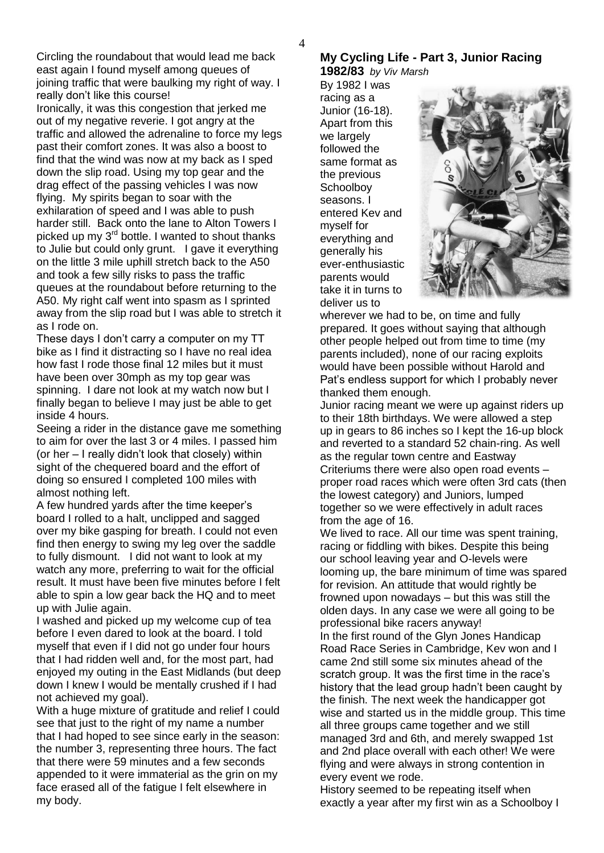Circling the roundabout that would lead me back east again I found myself among queues of joining traffic that were baulking my right of way. I really don't like this course!

Ironically, it was this congestion that jerked me out of my negative reverie. I got angry at the traffic and allowed the adrenaline to force my legs past their comfort zones. It was also a boost to find that the wind was now at my back as I sped down the slip road. Using my top gear and the drag effect of the passing vehicles I was now flying. My spirits began to soar with the exhilaration of speed and I was able to push harder still. Back onto the lane to Alton Towers I picked up my  $3<sup>rd</sup>$  bottle. I wanted to shout thanks to Julie but could only grunt. I gave it everything on the little 3 mile uphill stretch back to the A50 and took a few silly risks to pass the traffic queues at the roundabout before returning to the A50. My right calf went into spasm as I sprinted away from the slip road but I was able to stretch it as I rode on.

These days I don't carry a computer on my TT bike as I find it distracting so I have no real idea how fast I rode those final 12 miles but it must have been over 30mph as my top gear was spinning. I dare not look at my watch now but I finally began to believe I may just be able to get inside 4 hours.

Seeing a rider in the distance gave me something to aim for over the last 3 or 4 miles. I passed him (or her – I really didn't look that closely) within sight of the chequered board and the effort of doing so ensured I completed 100 miles with almost nothing left.

A few hundred yards after the time keeper's board I rolled to a halt, unclipped and sagged over my bike gasping for breath. I could not even find then energy to swing my leg over the saddle to fully dismount. I did not want to look at my watch any more, preferring to wait for the official result. It must have been five minutes before I felt able to spin a low gear back the HQ and to meet up with Julie again.

I washed and picked up my welcome cup of tea before I even dared to look at the board. I told myself that even if I did not go under four hours that I had ridden well and, for the most part, had enjoyed my outing in the East Midlands (but deep down I knew I would be mentally crushed if I had not achieved my goal).

With a huge mixture of gratitude and relief I could see that just to the right of my name a number that I had hoped to see since early in the season: the number 3, representing three hours. The fact that there were 59 minutes and a few seconds appended to it were immaterial as the grin on my face erased all of the fatigue I felt elsewhere in my body.

# **My Cycling Life - Part 3, Junior Racing**

**1982/83** *by Viv Marsh* By 1982 I was racing as a

Junior (16-18). Apart from this we largely followed the same format as the previous **Schoolboy** seasons. I entered Kev and myself for everything and generally his ever-enthusiastic parents would take it in turns to deliver us to



wherever we had to be, on time and fully prepared. It goes without saying that although other people helped out from time to time (my parents included), none of our racing exploits would have been possible without Harold and Pat's endless support for which I probably never thanked them enough.

Junior racing meant we were up against riders up to their 18th birthdays. We were allowed a step up in gears to 86 inches so I kept the 16-up block and reverted to a standard 52 chain-ring. As well as the regular town centre and Eastway Criteriums there were also open road events – proper road races which were often 3rd cats (then the lowest category) and Juniors, lumped together so we were effectively in adult races from the age of 16.

We lived to race. All our time was spent training, racing or fiddling with bikes. Despite this being our school leaving year and O-levels were looming up, the bare minimum of time was spared for revision. An attitude that would rightly be frowned upon nowadays – but this was still the olden days. In any case we were all going to be professional bike racers anyway!

In the first round of the Glyn Jones Handicap Road Race Series in Cambridge, Kev won and I came 2nd still some six minutes ahead of the scratch group. It was the first time in the race's history that the lead group hadn't been caught by the finish. The next week the handicapper got wise and started us in the middle group. This time all three groups came together and we still managed 3rd and 6th, and merely swapped 1st and 2nd place overall with each other! We were flying and were always in strong contention in every event we rode.

History seemed to be repeating itself when exactly a year after my first win as a Schoolboy I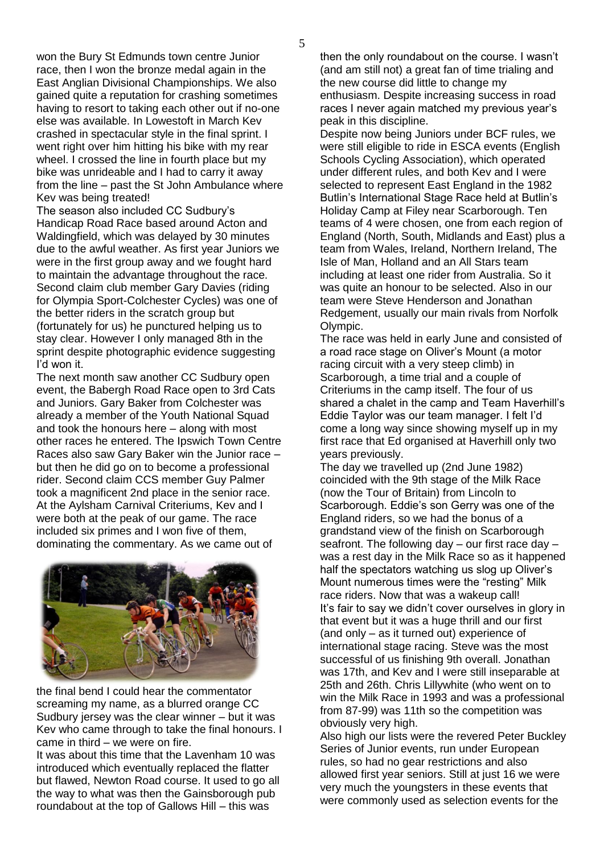won the Bury St Edmunds town centre Junior race, then I won the bronze medal again in the East Anglian Divisional Championships. We also gained quite a reputation for crashing sometimes having to resort to taking each other out if no-one else was available. In Lowestoft in March Kev crashed in spectacular style in the final sprint. I went right over him hitting his bike with my rear wheel. I crossed the line in fourth place but my bike was unrideable and I had to carry it away from the line – past the St John Ambulance where Kev was being treated!

The season also included CC Sudbury's Handicap Road Race based around Acton and Waldingfield, which was delayed by 30 minutes due to the awful weather. As first year Juniors we were in the first group away and we fought hard to maintain the advantage throughout the race. Second claim club member Gary Davies (riding for Olympia Sport-Colchester Cycles) was one of the better riders in the scratch group but (fortunately for us) he punctured helping us to stay clear. However I only managed 8th in the sprint despite photographic evidence suggesting I'd won it.

The next month saw another CC Sudbury open event, the Babergh Road Race open to 3rd Cats and Juniors. Gary Baker from Colchester was already a member of the Youth National Squad and took the honours here – along with most other races he entered. The Ipswich Town Centre Races also saw Gary Baker win the Junior race – but then he did go on to become a professional rider. Second claim CCS member Guy Palmer took a magnificent 2nd place in the senior race. At the Aylsham Carnival Criteriums, Kev and I were both at the peak of our game. The race included six primes and I won five of them, dominating the commentary. As we came out of



the final bend I could hear the commentator screaming my name, as a blurred orange CC Sudbury jersey was the clear winner – but it was Kev who came through to take the final honours. I came in third – we were on fire.

It was about this time that the Lavenham 10 was introduced which eventually replaced the flatter but flawed, Newton Road course. It used to go all the way to what was then the Gainsborough pub roundabout at the top of Gallows Hill – this was

then the only roundabout on the course. I wasn't (and am still not) a great fan of time trialing and the new course did little to change my enthusiasm. Despite increasing success in road races I never again matched my previous year's peak in this discipline.

Despite now being Juniors under BCF rules, we were still eligible to ride in ESCA events (English Schools Cycling Association), which operated under different rules, and both Kev and I were selected to represent East England in the 1982 Butlin's International Stage Race held at Butlin's Holiday Camp at Filey near Scarborough. Ten teams of 4 were chosen, one from each region of England (North, South, Midlands and East) plus a team from Wales, Ireland, Northern Ireland, The Isle of Man, Holland and an All Stars team including at least one rider from Australia. So it was quite an honour to be selected. Also in our team were Steve Henderson and Jonathan Redgement, usually our main rivals from Norfolk Olympic.

The race was held in early June and consisted of a road race stage on Oliver's Mount (a motor racing circuit with a very steep climb) in Scarborough, a time trial and a couple of Criteriums in the camp itself. The four of us shared a chalet in the camp and Team Haverhill's Eddie Taylor was our team manager. I felt I'd come a long way since showing myself up in my first race that Ed organised at Haverhill only two years previously.

The day we travelled up (2nd June 1982) coincided with the 9th stage of the Milk Race (now the Tour of Britain) from Lincoln to Scarborough. Eddie's son Gerry was one of the England riders, so we had the bonus of a grandstand view of the finish on Scarborough seafront. The following day – our first race day – was a rest day in the Milk Race so as it happened half the spectators watching us slog up Oliver's Mount numerous times were the "resting" Milk race riders. Now that was a wakeup call! It's fair to say we didn't cover ourselves in glory in that event but it was a huge thrill and our first (and only – as it turned out) experience of international stage racing. Steve was the most successful of us finishing 9th overall. Jonathan was 17th, and Kev and I were still inseparable at 25th and 26th. Chris Lillywhite (who went on to win the Milk Race in 1993 and was a professional from 87-99) was 11th so the competition was obviously very high.

Also high our lists were the revered Peter Buckley Series of Junior events, run under European rules, so had no gear restrictions and also allowed first year seniors. Still at just 16 we were very much the youngsters in these events that were commonly used as selection events for the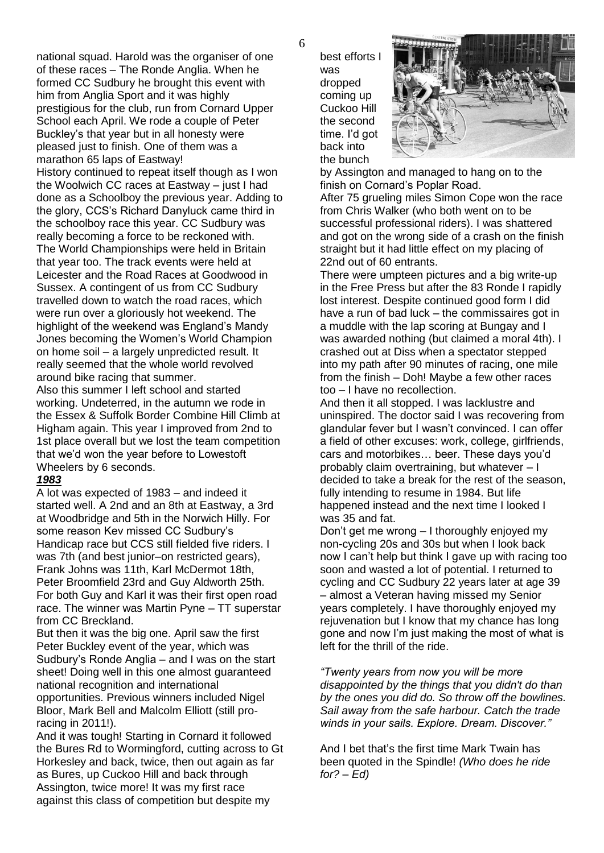national squad. Harold was the organiser of one of these races – The Ronde Anglia. When he formed CC Sudbury he brought this event with him from Anglia Sport and it was highly prestigious for the club, run from Cornard Upper School each April. We rode a couple of Peter Buckley's that year but in all honesty were pleased just to finish. One of them was a marathon 65 laps of Eastway! History continued to repeat itself though as I won the Woolwich CC races at Eastway – just I had done as a Schoolboy the previous year. Adding to the glory, CCS's Richard Danyluck came third in the schoolboy race this year. CC Sudbury was really becoming a force to be reckoned with. The World Championships were held in Britain that year too. The track events were held at Leicester and the Road Races at Goodwood in Sussex. A contingent of us from CC Sudbury travelled down to watch the road races, which were run over a gloriously hot weekend. The highlight of the weekend was England's Mandy Jones becoming the Women's World Champion on home soil – a largely unpredicted result. It

really seemed that the whole world revolved around bike racing that summer.

Also this summer I left school and started working. Undeterred, in the autumn we rode in the Essex & Suffolk Border Combine Hill Climb at Higham again. This year I improved from 2nd to 1st place overall but we lost the team competition that we'd won the year before to Lowestoft Wheelers by 6 seconds.

#### *1983*

A lot was expected of 1983 – and indeed it started well. A 2nd and an 8th at Eastway, a 3rd at Woodbridge and 5th in the Norwich Hilly. For some reason Kev missed CC Sudbury's Handicap race but CCS still fielded five riders. I was 7th (and best junior–on restricted gears), Frank Johns was 11th, Karl McDermot 18th, Peter Broomfield 23rd and Guy Aldworth 25th. For both Guy and Karl it was their first open road race. The winner was Martin Pyne – TT superstar from CC Breckland.

But then it was the big one. April saw the first Peter Buckley event of the year, which was Sudbury's Ronde Anglia – and I was on the start sheet! Doing well in this one almost guaranteed national recognition and international opportunities. Previous winners included Nigel Bloor, Mark Bell and Malcolm Elliott (still proracing in 2011!).

And it was tough! Starting in Cornard it followed the Bures Rd to Wormingford, cutting across to Gt Horkesley and back, twice, then out again as far as Bures, up Cuckoo Hill and back through Assington, twice more! It was my first race against this class of competition but despite my

best efforts I was dropped coming up Cuckoo Hill the second time. I'd got back into the bunch



by Assington and managed to hang on to the finish on Cornard's Poplar Road.

After 75 grueling miles Simon Cope won the race from Chris Walker (who both went on to be successful professional riders). I was shattered and got on the wrong side of a crash on the finish straight but it had little effect on my placing of 22nd out of 60 entrants.

There were umpteen pictures and a big write-up in the Free Press but after the 83 Ronde I rapidly lost interest. Despite continued good form I did have a run of bad luck – the commissaires got in a muddle with the lap scoring at Bungay and I was awarded nothing (but claimed a moral 4th). I crashed out at Diss when a spectator stepped into my path after 90 minutes of racing, one mile from the finish – Doh! Maybe a few other races too – I have no recollection.

And then it all stopped. I was lacklustre and uninspired. The doctor said I was recovering from glandular fever but I wasn't convinced. I can offer a field of other excuses: work, college, girlfriends, cars and motorbikes… beer. These days you'd probably claim overtraining, but whatever – I decided to take a break for the rest of the season, fully intending to resume in 1984. But life happened instead and the next time I looked I was 35 and fat.

Don't get me wrong – I thoroughly enjoyed my non-cycling 20s and 30s but when I look back now I can't help but think I gave up with racing too soon and wasted a lot of potential. I returned to cycling and CC Sudbury 22 years later at age 39 – almost a Veteran having missed my Senior years completely. I have thoroughly enjoyed my rejuvenation but I know that my chance has long gone and now I'm just making the most of what is left for the thrill of the ride.

*"Twenty years from now you will be more disappointed by the things that you didn't do than by the ones you did do. So throw off the bowlines. Sail away from the safe harbour. Catch the trade winds in your sails. Explore. Dream. Discover."*

And I bet that's the first time Mark Twain has been quoted in the Spindle! *(Who does he ride for? – Ed)*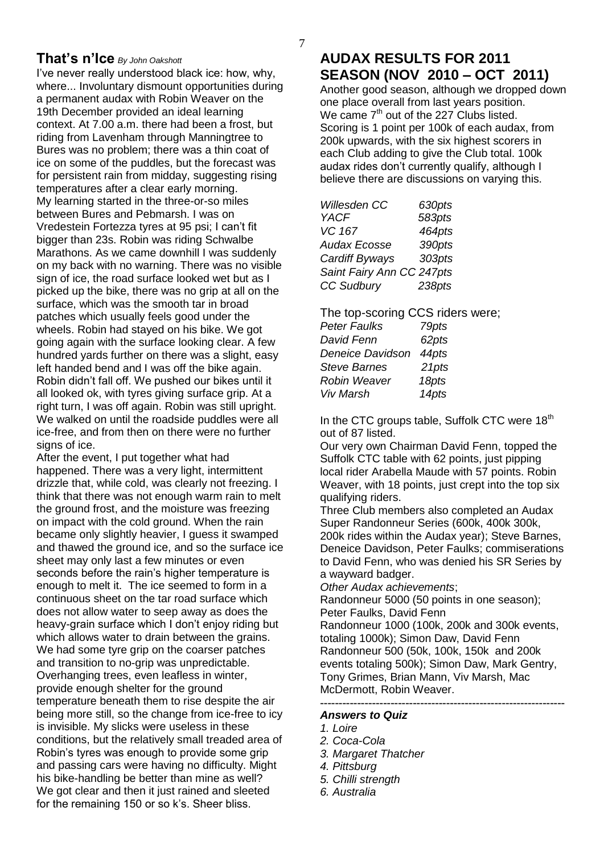#### 7

## **That's n'Ice** *By John Oakshott*

I've never really understood black ice: how, why, where... Involuntary dismount opportunities during a permanent audax with Robin Weaver on the 19th December provided an ideal learning context. At 7.00 a.m. there had been a frost, but riding from Lavenham through Manningtree to Bures was no problem; there was a thin coat of ice on some of the puddles, but the forecast was for persistent rain from midday, suggesting rising temperatures after a clear early morning. My learning started in the three-or-so miles between Bures and Pebmarsh. I was on Vredestein Fortezza tyres at 95 psi; I can't fit bigger than 23s. Robin was riding Schwalbe Marathons. As we came downhill I was suddenly on my back with no warning. There was no visible sign of ice, the road surface looked wet but as I picked up the bike, there was no grip at all on the surface, which was the smooth tar in broad patches which usually feels good under the wheels. Robin had stayed on his bike. We got going again with the surface looking clear. A few hundred yards further on there was a slight, easy left handed bend and I was off the bike again. Robin didn't fall off. We pushed our bikes until it all looked ok, with tyres giving surface grip. At a right turn, I was off again. Robin was still upright. We walked on until the roadside puddles were all ice-free, and from then on there were no further signs of ice.

After the event, I put together what had happened. There was a very light, intermittent drizzle that, while cold, was clearly not freezing. I think that there was not enough warm rain to melt the ground frost, and the moisture was freezing on impact with the cold ground. When the rain became only slightly heavier, I guess it swamped and thawed the ground ice, and so the surface ice sheet may only last a few minutes or even seconds before the rain's higher temperature is enough to melt it. The ice seemed to form in a continuous sheet on the tar road surface which does not allow water to seep away as does the heavy-grain surface which I don't enjoy riding but which allows water to drain between the grains. We had some tyre grip on the coarser patches and transition to no-grip was unpredictable. Overhanging trees, even leafless in winter, provide enough shelter for the ground temperature beneath them to rise despite the air being more still, so the change from ice-free to icy is invisible. My slicks were useless in these conditions, but the relatively small treaded area of Robin's tyres was enough to provide some grip and passing cars were having no difficulty. Might his bike-handling be better than mine as well? We got clear and then it just rained and sleeted for the remaining 150 or so k's. Sheer bliss.

# **AUDAX RESULTS FOR 2011 SEASON (NOV 2010 – OCT 2011)**

Another good season, although we dropped down one place overall from last years position. We came  $7<sup>th</sup>$  out of the 227 Clubs listed. Scoring is 1 point per 100k of each audax, from 200k upwards, with the six highest scorers in each Club adding to give the Club total. 100k audax rides don't currently qualify, although I believe there are discussions on varying this.

| Willesden CC              | 630pts |
|---------------------------|--------|
| <b>YACF</b>               | 583pts |
| VC 167                    | 464pts |
| <b>Audax Ecosse</b>       | 390pts |
| Cardiff Byways            | 303pts |
| Saint Fairy Ann CC 247pts |        |
| <b>CC Sudbury</b>         | 238pts |

The top-scoring CCS riders were; *Peter Faulks 79pts David Fenn 62pts Deneice Davidson 44pts Steve Barnes 21pts Robin Weaver 18pts Viv Marsh 14pts*

In the CTC groups table, Suffolk CTC were  $18<sup>th</sup>$ out of 87 listed.

Our very own Chairman David Fenn, topped the Suffolk CTC table with 62 points, just pipping local rider Arabella Maude with 57 points. Robin Weaver, with 18 points, just crept into the top six qualifying riders.

Three Club members also completed an Audax Super Randonneur Series (600k, 400k 300k, 200k rides within the Audax year); Steve Barnes, Deneice Davidson, Peter Faulks; commiserations to David Fenn, who was denied his SR Series by a wayward badger.

*Other Audax achievements*;

Randonneur 5000 (50 points in one season); Peter Faulks, David Fenn Randonneur 1000 (100k, 200k and 300k events, totaling 1000k); Simon Daw, David Fenn Randonneur 500 (50k, 100k, 150k and 200k events totaling 500k); Simon Daw, Mark Gentry,

Tony Grimes, Brian Mann, Viv Marsh, Mac McDermott, Robin Weaver.

**------------------------------------------------------------------**

### *Answers to Quiz*

- *1. Loire*
- *2. Coca-Cola*
- *3. Margaret Thatcher*
- *4. Pittsburg*
- *5. Chilli strength*
- *6. Australia*